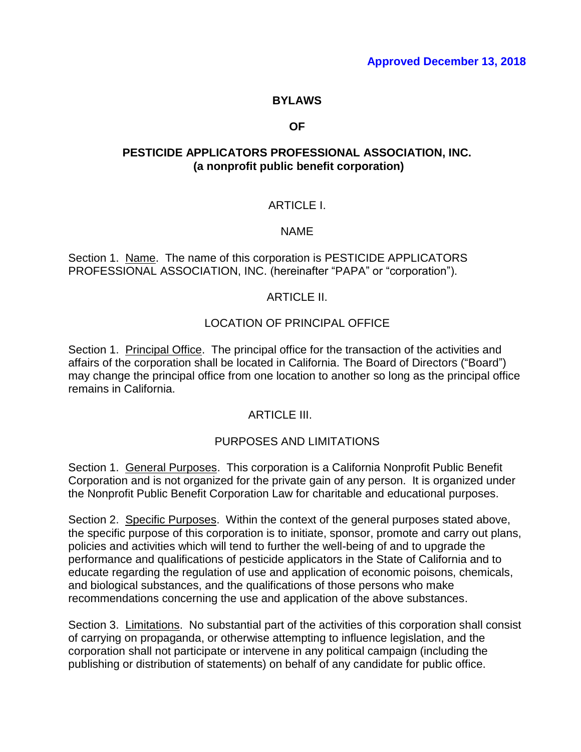#### **BYLAWS**

#### **OF**

### **PESTICIDE APPLICATORS PROFESSIONAL ASSOCIATION, INC. (a nonprofit public benefit corporation)**

### ARTICLE I.

#### NAME

Section 1. Name. The name of this corporation is PESTICIDE APPLICATORS PROFESSIONAL ASSOCIATION, INC. (hereinafter "PAPA" or "corporation").

#### ARTICLE II.

#### LOCATION OF PRINCIPAL OFFICE

Section 1. Principal Office. The principal office for the transaction of the activities and affairs of the corporation shall be located in California. The Board of Directors ("Board") may change the principal office from one location to another so long as the principal office remains in California.

### ARTICI F III.

### PURPOSES AND LIMITATIONS

Section 1. General Purposes. This corporation is a California Nonprofit Public Benefit Corporation and is not organized for the private gain of any person. It is organized under the Nonprofit Public Benefit Corporation Law for charitable and educational purposes.

Section 2. Specific Purposes. Within the context of the general purposes stated above, the specific purpose of this corporation is to initiate, sponsor, promote and carry out plans, policies and activities which will tend to further the well-being of and to upgrade the performance and qualifications of pesticide applicators in the State of California and to educate regarding the regulation of use and application of economic poisons, chemicals, and biological substances, and the qualifications of those persons who make recommendations concerning the use and application of the above substances.

Section 3. Limitations. No substantial part of the activities of this corporation shall consist of carrying on propaganda, or otherwise attempting to influence legislation, and the corporation shall not participate or intervene in any political campaign (including the publishing or distribution of statements) on behalf of any candidate for public office.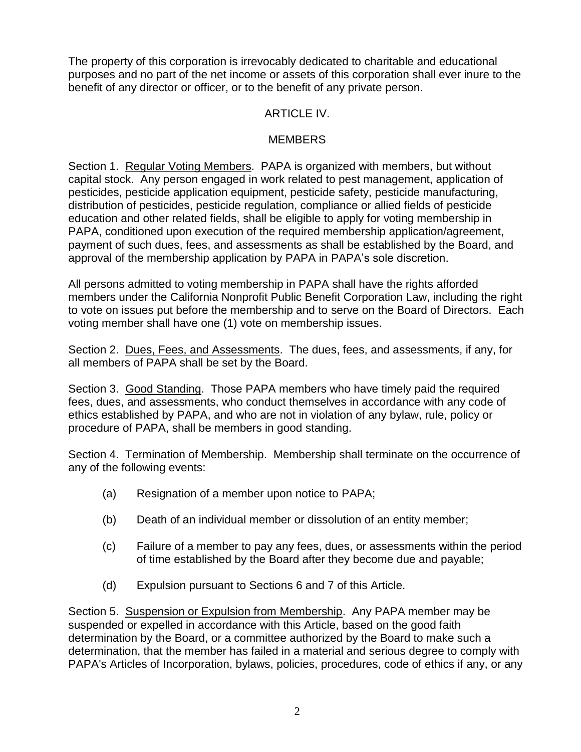The property of this corporation is irrevocably dedicated to charitable and educational purposes and no part of the net income or assets of this corporation shall ever inure to the benefit of any director or officer, or to the benefit of any private person.

## ARTICLE IV.

## **MEMBERS**

Section 1. Regular Voting Members. PAPA is organized with members, but without capital stock. Any person engaged in work related to pest management, application of pesticides, pesticide application equipment, pesticide safety, pesticide manufacturing, distribution of pesticides, pesticide regulation, compliance or allied fields of pesticide education and other related fields, shall be eligible to apply for voting membership in PAPA, conditioned upon execution of the required membership application/agreement, payment of such dues, fees, and assessments as shall be established by the Board, and approval of the membership application by PAPA in PAPA's sole discretion.

All persons admitted to voting membership in PAPA shall have the rights afforded members under the California Nonprofit Public Benefit Corporation Law, including the right to vote on issues put before the membership and to serve on the Board of Directors. Each voting member shall have one (1) vote on membership issues.

Section 2. Dues, Fees, and Assessments. The dues, fees, and assessments, if any, for all members of PAPA shall be set by the Board.

Section 3. Good Standing. Those PAPA members who have timely paid the required fees, dues, and assessments, who conduct themselves in accordance with any code of ethics established by PAPA, and who are not in violation of any bylaw, rule, policy or procedure of PAPA, shall be members in good standing.

Section 4. Termination of Membership. Membership shall terminate on the occurrence of any of the following events:

- (a) Resignation of a member upon notice to PAPA;
- (b) Death of an individual member or dissolution of an entity member;
- (c) Failure of a member to pay any fees, dues, or assessments within the period of time established by the Board after they become due and payable;
- (d) Expulsion pursuant to Sections 6 and 7 of this Article.

Section 5. Suspension or Expulsion from Membership. Any PAPA member may be suspended or expelled in accordance with this Article, based on the good faith determination by the Board, or a committee authorized by the Board to make such a determination, that the member has failed in a material and serious degree to comply with PAPA's Articles of Incorporation, bylaws, policies, procedures, code of ethics if any, or any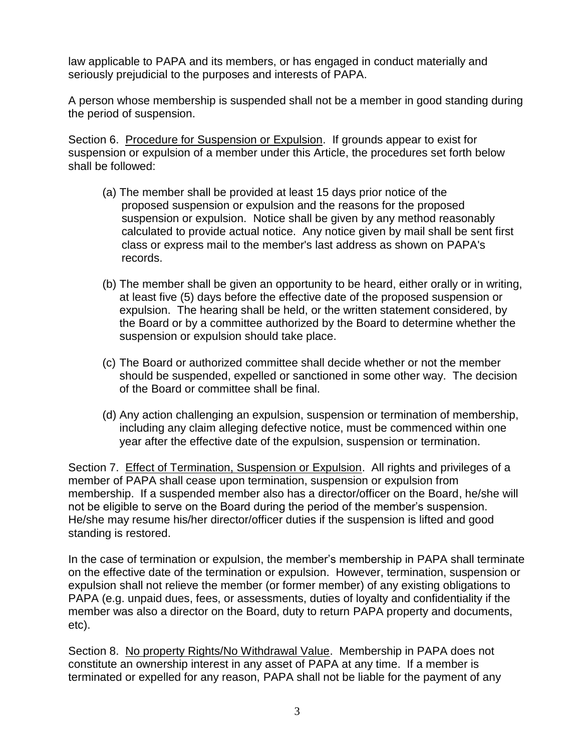law applicable to PAPA and its members, or has engaged in conduct materially and seriously prejudicial to the purposes and interests of PAPA.

A person whose membership is suspended shall not be a member in good standing during the period of suspension.

Section 6. Procedure for Suspension or Expulsion. If grounds appear to exist for suspension or expulsion of a member under this Article, the procedures set forth below shall be followed:

- (a) The member shall be provided at least 15 days prior notice of the proposed suspension or expulsion and the reasons for the proposed suspension or expulsion. Notice shall be given by any method reasonably calculated to provide actual notice. Any notice given by mail shall be sent first class or express mail to the member's last address as shown on PAPA's records.
- (b) The member shall be given an opportunity to be heard, either orally or in writing, at least five (5) days before the effective date of the proposed suspension or expulsion. The hearing shall be held, or the written statement considered, by the Board or by a committee authorized by the Board to determine whether the suspension or expulsion should take place.
- (c) The Board or authorized committee shall decide whether or not the member should be suspended, expelled or sanctioned in some other way. The decision of the Board or committee shall be final.
- (d) Any action challenging an expulsion, suspension or termination of membership, including any claim alleging defective notice, must be commenced within one year after the effective date of the expulsion, suspension or termination.

Section 7. Effect of Termination, Suspension or Expulsion. All rights and privileges of a member of PAPA shall cease upon termination, suspension or expulsion from membership. If a suspended member also has a director/officer on the Board, he/she will not be eligible to serve on the Board during the period of the member's suspension. He/she may resume his/her director/officer duties if the suspension is lifted and good standing is restored.

In the case of termination or expulsion, the member's membership in PAPA shall terminate on the effective date of the termination or expulsion. However, termination, suspension or expulsion shall not relieve the member (or former member) of any existing obligations to PAPA (e.g. unpaid dues, fees, or assessments, duties of loyalty and confidentiality if the member was also a director on the Board, duty to return PAPA property and documents, etc).

Section 8. No property Rights/No Withdrawal Value. Membership in PAPA does not constitute an ownership interest in any asset of PAPA at any time. If a member is terminated or expelled for any reason, PAPA shall not be liable for the payment of any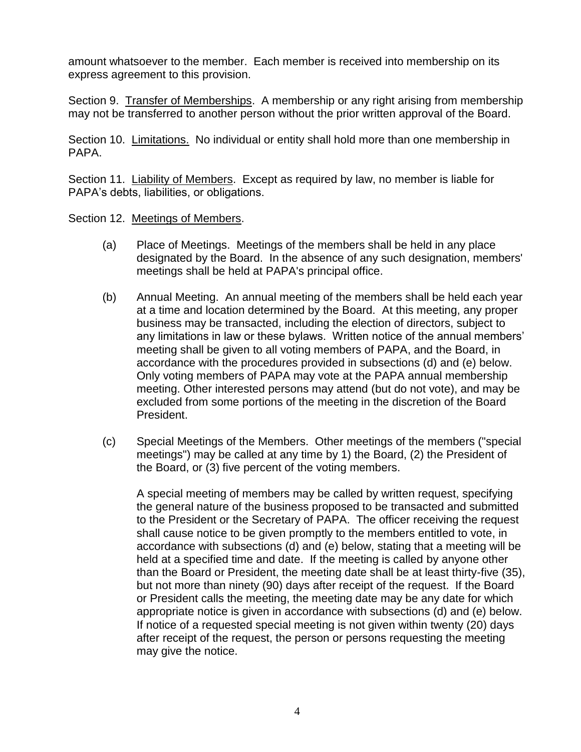amount whatsoever to the member. Each member is received into membership on its express agreement to this provision.

Section 9. Transfer of Memberships. A membership or any right arising from membership may not be transferred to another person without the prior written approval of the Board.

Section 10. Limitations. No individual or entity shall hold more than one membership in PAPA.

Section 11. Liability of Members. Except as required by law, no member is liable for PAPA's debts, liabilities, or obligations.

Section 12. Meetings of Members.

- (a) Place of Meetings. Meetings of the members shall be held in any place designated by the Board. In the absence of any such designation, members' meetings shall be held at PAPA's principal office.
- (b) Annual Meeting. An annual meeting of the members shall be held each year at a time and location determined by the Board. At this meeting, any proper business may be transacted, including the election of directors, subject to any limitations in law or these bylaws. Written notice of the annual members' meeting shall be given to all voting members of PAPA, and the Board, in accordance with the procedures provided in subsections (d) and (e) below. Only voting members of PAPA may vote at the PAPA annual membership meeting. Other interested persons may attend (but do not vote), and may be excluded from some portions of the meeting in the discretion of the Board President.
- (c) Special Meetings of the Members. Other meetings of the members ("special meetings") may be called at any time by 1) the Board, (2) the President of the Board, or (3) five percent of the voting members.

A special meeting of members may be called by written request, specifying the general nature of the business proposed to be transacted and submitted to the President or the Secretary of PAPA. The officer receiving the request shall cause notice to be given promptly to the members entitled to vote, in accordance with subsections (d) and (e) below, stating that a meeting will be held at a specified time and date. If the meeting is called by anyone other than the Board or President, the meeting date shall be at least thirty-five (35), but not more than ninety (90) days after receipt of the request. If the Board or President calls the meeting, the meeting date may be any date for which appropriate notice is given in accordance with subsections (d) and (e) below. If notice of a requested special meeting is not given within twenty (20) days after receipt of the request, the person or persons requesting the meeting may give the notice.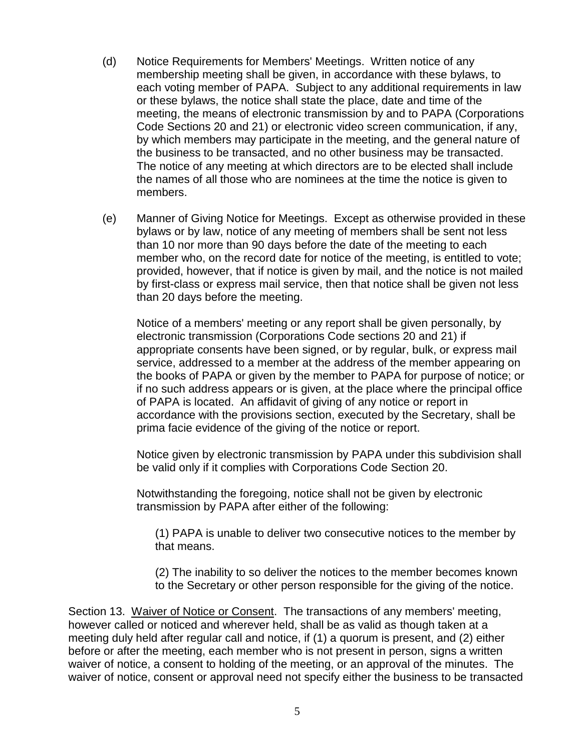- (d) Notice Requirements for Members' Meetings. Written notice of any membership meeting shall be given, in accordance with these bylaws, to each voting member of PAPA. Subject to any additional requirements in law or these bylaws, the notice shall state the place, date and time of the meeting, the means of electronic transmission by and to PAPA (Corporations Code Sections 20 and 21) or electronic video screen communication, if any, by which members may participate in the meeting, and the general nature of the business to be transacted, and no other business may be transacted. The notice of any meeting at which directors are to be elected shall include the names of all those who are nominees at the time the notice is given to members.
- (e) Manner of Giving Notice for Meetings. Except as otherwise provided in these bylaws or by law, notice of any meeting of members shall be sent not less than 10 nor more than 90 days before the date of the meeting to each member who, on the record date for notice of the meeting, is entitled to vote; provided, however, that if notice is given by mail, and the notice is not mailed by first-class or express mail service, then that notice shall be given not less than 20 days before the meeting.

Notice of a members' meeting or any report shall be given personally, by electronic transmission (Corporations Code sections 20 and 21) if appropriate consents have been signed, or by regular, bulk, or express mail service, addressed to a member at the address of the member appearing on the books of PAPA or given by the member to PAPA for purpose of notice; or if no such address appears or is given, at the place where the principal office of PAPA is located. An affidavit of giving of any notice or report in accordance with the provisions section, executed by the Secretary, shall be prima facie evidence of the giving of the notice or report.

Notice given by electronic transmission by PAPA under this subdivision shall be valid only if it complies with Corporations Code Section 20.

Notwithstanding the foregoing, notice shall not be given by electronic transmission by PAPA after either of the following:

(1) PAPA is unable to deliver two consecutive notices to the member by that means.

(2) The inability to so deliver the notices to the member becomes known to the Secretary or other person responsible for the giving of the notice.

Section 13. Waiver of Notice or Consent. The transactions of any members' meeting, however called or noticed and wherever held, shall be as valid as though taken at a meeting duly held after regular call and notice, if (1) a quorum is present, and (2) either before or after the meeting, each member who is not present in person, signs a written waiver of notice, a consent to holding of the meeting, or an approval of the minutes. The waiver of notice, consent or approval need not specify either the business to be transacted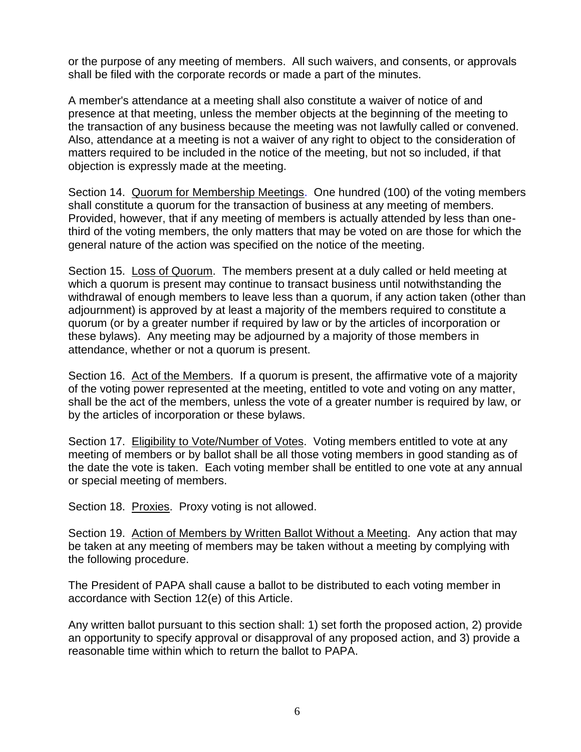or the purpose of any meeting of members. All such waivers, and consents, or approvals shall be filed with the corporate records or made a part of the minutes.

A member's attendance at a meeting shall also constitute a waiver of notice of and presence at that meeting, unless the member objects at the beginning of the meeting to the transaction of any business because the meeting was not lawfully called or convened. Also, attendance at a meeting is not a waiver of any right to object to the consideration of matters required to be included in the notice of the meeting, but not so included, if that objection is expressly made at the meeting.

Section 14. Quorum for Membership Meetings. One hundred (100) of the voting members shall constitute a quorum for the transaction of business at any meeting of members. Provided, however, that if any meeting of members is actually attended by less than onethird of the voting members, the only matters that may be voted on are those for which the general nature of the action was specified on the notice of the meeting.

Section 15. Loss of Quorum. The members present at a duly called or held meeting at which a quorum is present may continue to transact business until notwithstanding the withdrawal of enough members to leave less than a quorum, if any action taken (other than adjournment) is approved by at least a majority of the members required to constitute a quorum (or by a greater number if required by law or by the articles of incorporation or these bylaws). Any meeting may be adjourned by a majority of those members in attendance, whether or not a quorum is present.

Section 16. Act of the Members. If a quorum is present, the affirmative vote of a majority of the voting power represented at the meeting, entitled to vote and voting on any matter, shall be the act of the members, unless the vote of a greater number is required by law, or by the articles of incorporation or these bylaws.

Section 17. Eligibility to Vote/Number of Votes. Voting members entitled to vote at any meeting of members or by ballot shall be all those voting members in good standing as of the date the vote is taken. Each voting member shall be entitled to one vote at any annual or special meeting of members.

Section 18. Proxies. Proxy voting is not allowed.

Section 19. Action of Members by Written Ballot Without a Meeting. Any action that may be taken at any meeting of members may be taken without a meeting by complying with the following procedure.

The President of PAPA shall cause a ballot to be distributed to each voting member in accordance with Section 12(e) of this Article.

Any written ballot pursuant to this section shall: 1) set forth the proposed action, 2) provide an opportunity to specify approval or disapproval of any proposed action, and 3) provide a reasonable time within which to return the ballot to PAPA.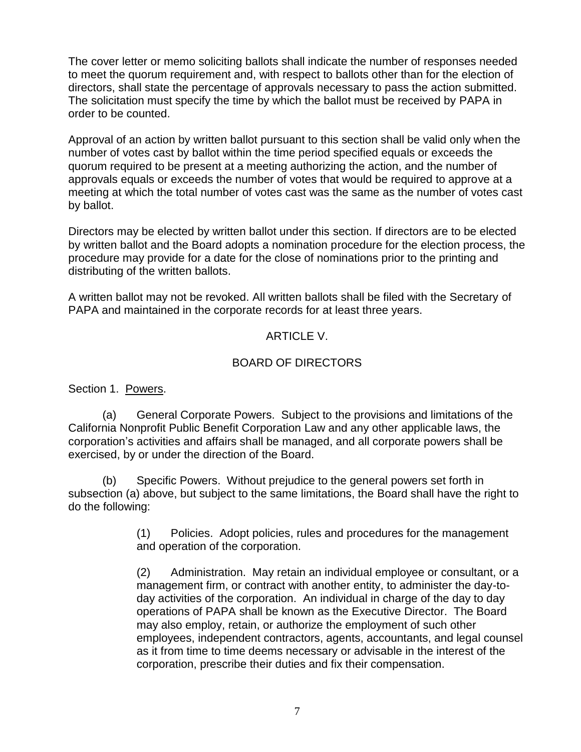The cover letter or memo soliciting ballots shall indicate the number of responses needed to meet the quorum requirement and, with respect to ballots other than for the election of directors, shall state the percentage of approvals necessary to pass the action submitted. The solicitation must specify the time by which the ballot must be received by PAPA in order to be counted.

Approval of an action by written ballot pursuant to this section shall be valid only when the number of votes cast by ballot within the time period specified equals or exceeds the quorum required to be present at a meeting authorizing the action, and the number of approvals equals or exceeds the number of votes that would be required to approve at a meeting at which the total number of votes cast was the same as the number of votes cast by ballot.

Directors may be elected by written ballot under this section. If directors are to be elected by written ballot and the Board adopts a nomination procedure for the election process, the procedure may provide for a date for the close of nominations prior to the printing and distributing of the written ballots.

A written ballot may not be revoked. All written ballots shall be filed with the Secretary of PAPA and maintained in the corporate records for at least three years.

## ARTICLE V.

## BOARD OF DIRECTORS

Section 1. Powers.

(a) General Corporate Powers. Subject to the provisions and limitations of the California Nonprofit Public Benefit Corporation Law and any other applicable laws, the corporation's activities and affairs shall be managed, and all corporate powers shall be exercised, by or under the direction of the Board.

(b) Specific Powers. Without prejudice to the general powers set forth in subsection (a) above, but subject to the same limitations, the Board shall have the right to do the following:

> (1) Policies. Adopt policies, rules and procedures for the management and operation of the corporation.

(2) Administration. May retain an individual employee or consultant, or a management firm, or contract with another entity, to administer the day-today activities of the corporation. An individual in charge of the day to day operations of PAPA shall be known as the Executive Director. The Board may also employ, retain, or authorize the employment of such other employees, independent contractors, agents, accountants, and legal counsel as it from time to time deems necessary or advisable in the interest of the corporation, prescribe their duties and fix their compensation.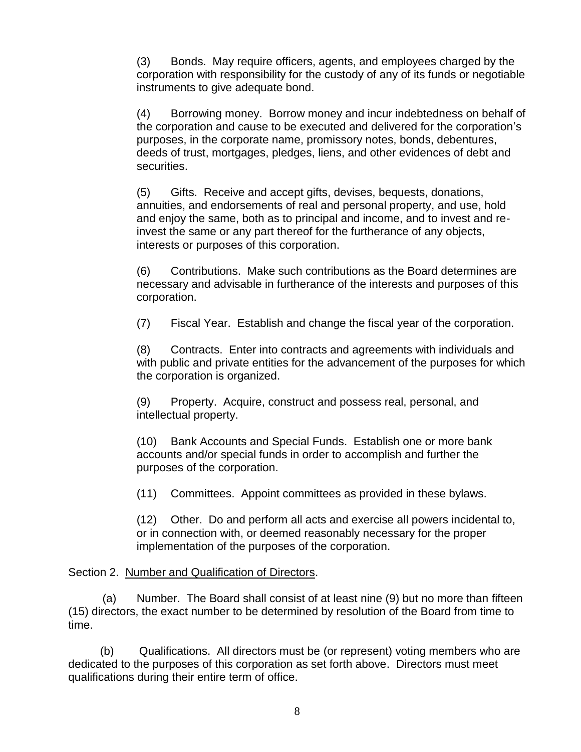(3) Bonds. May require officers, agents, and employees charged by the corporation with responsibility for the custody of any of its funds or negotiable instruments to give adequate bond.

(4) Borrowing money. Borrow money and incur indebtedness on behalf of the corporation and cause to be executed and delivered for the corporation's purposes, in the corporate name, promissory notes, bonds, debentures, deeds of trust, mortgages, pledges, liens, and other evidences of debt and securities.

(5) Gifts. Receive and accept gifts, devises, bequests, donations, annuities, and endorsements of real and personal property, and use, hold and enjoy the same, both as to principal and income, and to invest and reinvest the same or any part thereof for the furtherance of any objects, interests or purposes of this corporation.

(6) Contributions. Make such contributions as the Board determines are necessary and advisable in furtherance of the interests and purposes of this corporation.

(7) Fiscal Year. Establish and change the fiscal year of the corporation.

(8) Contracts. Enter into contracts and agreements with individuals and with public and private entities for the advancement of the purposes for which the corporation is organized.

(9) Property. Acquire, construct and possess real, personal, and intellectual property.

(10) Bank Accounts and Special Funds. Establish one or more bank accounts and/or special funds in order to accomplish and further the purposes of the corporation.

(11) Committees. Appoint committees as provided in these bylaws.

(12) Other. Do and perform all acts and exercise all powers incidental to, or in connection with, or deemed reasonably necessary for the proper implementation of the purposes of the corporation.

Section 2. Number and Qualification of Directors.

(a) Number. The Board shall consist of at least nine (9) but no more than fifteen (15) directors, the exact number to be determined by resolution of the Board from time to time.

 (b) Qualifications. All directors must be (or represent) voting members who are dedicated to the purposes of this corporation as set forth above. Directors must meet qualifications during their entire term of office.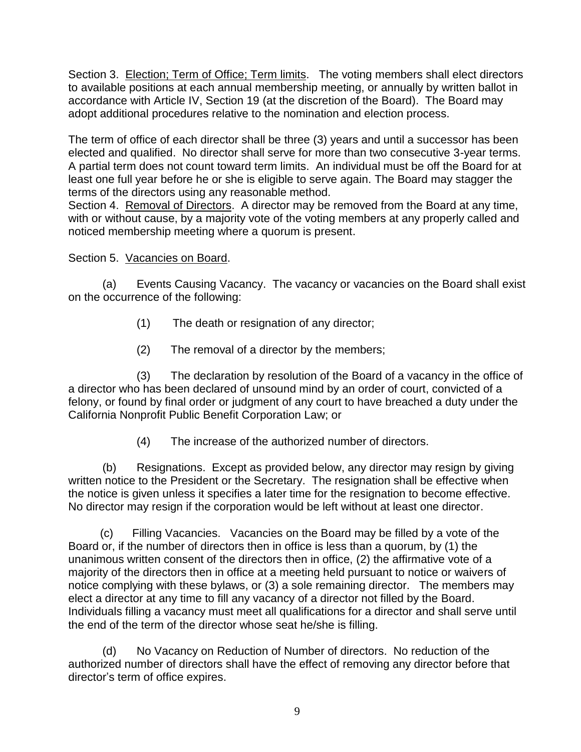Section 3. Election; Term of Office; Term limits. The voting members shall elect directors to available positions at each annual membership meeting, or annually by written ballot in accordance with Article IV, Section 19 (at the discretion of the Board). The Board may adopt additional procedures relative to the nomination and election process.

The term of office of each director shall be three (3) years and until a successor has been elected and qualified. No director shall serve for more than two consecutive 3-year terms. A partial term does not count toward term limits. An individual must be off the Board for at least one full year before he or she is eligible to serve again. The Board may stagger the terms of the directors using any reasonable method.

Section 4. Removal of Directors. A director may be removed from the Board at any time, with or without cause, by a majority vote of the voting members at any properly called and noticed membership meeting where a quorum is present.

## Section 5. Vacancies on Board.

(a) Events Causing Vacancy. The vacancy or vacancies on the Board shall exist on the occurrence of the following:

- (1) The death or resignation of any director;
- (2) The removal of a director by the members;

(3) The declaration by resolution of the Board of a vacancy in the office of a director who has been declared of unsound mind by an order of court, convicted of a felony, or found by final order or judgment of any court to have breached a duty under the California Nonprofit Public Benefit Corporation Law; or

(4) The increase of the authorized number of directors.

(b) Resignations. Except as provided below, any director may resign by giving written notice to the President or the Secretary. The resignation shall be effective when the notice is given unless it specifies a later time for the resignation to become effective. No director may resign if the corporation would be left without at least one director.

 (c) Filling Vacancies. Vacancies on the Board may be filled by a vote of the Board or, if the number of directors then in office is less than a quorum, by (1) the unanimous written consent of the directors then in office, (2) the affirmative vote of a majority of the directors then in office at a meeting held pursuant to notice or waivers of notice complying with these bylaws, or (3) a sole remaining director. The members may elect a director at any time to fill any vacancy of a director not filled by the Board. Individuals filling a vacancy must meet all qualifications for a director and shall serve until the end of the term of the director whose seat he/she is filling.

(d) No Vacancy on Reduction of Number of directors. No reduction of the authorized number of directors shall have the effect of removing any director before that director's term of office expires.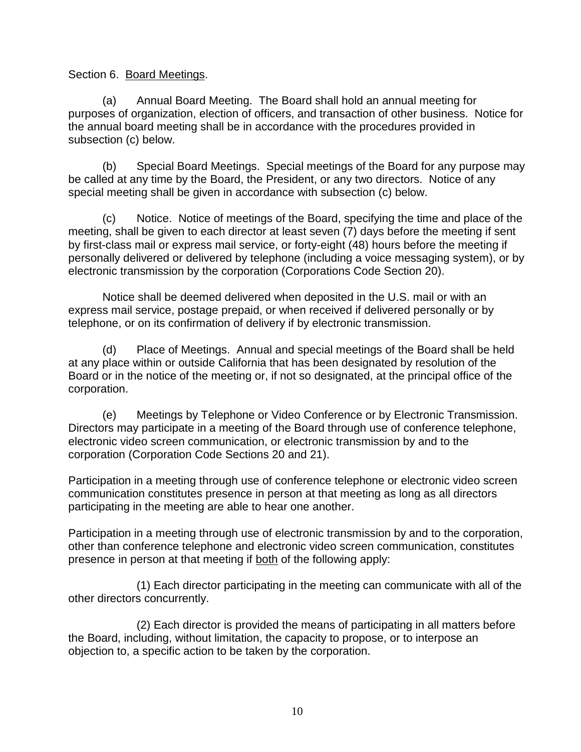Section 6. Board Meetings.

(a) Annual Board Meeting. The Board shall hold an annual meeting for purposes of organization, election of officers, and transaction of other business. Notice for the annual board meeting shall be in accordance with the procedures provided in subsection (c) below.

(b) Special Board Meetings. Special meetings of the Board for any purpose may be called at any time by the Board, the President, or any two directors. Notice of any special meeting shall be given in accordance with subsection (c) below.

(c) Notice. Notice of meetings of the Board, specifying the time and place of the meeting, shall be given to each director at least seven (7) days before the meeting if sent by first-class mail or express mail service, or forty-eight (48) hours before the meeting if personally delivered or delivered by telephone (including a voice messaging system), or by electronic transmission by the corporation (Corporations Code Section 20).

Notice shall be deemed delivered when deposited in the U.S. mail or with an express mail service, postage prepaid, or when received if delivered personally or by telephone, or on its confirmation of delivery if by electronic transmission.

(d) Place of Meetings. Annual and special meetings of the Board shall be held at any place within or outside California that has been designated by resolution of the Board or in the notice of the meeting or, if not so designated, at the principal office of the corporation.

(e) Meetings by Telephone or Video Conference or by Electronic Transmission. Directors may participate in a meeting of the Board through use of conference telephone, electronic video screen communication, or electronic transmission by and to the corporation (Corporation Code Sections 20 and 21).

Participation in a meeting through use of conference telephone or electronic video screen communication constitutes presence in person at that meeting as long as all directors participating in the meeting are able to hear one another.

Participation in a meeting through use of electronic transmission by and to the corporation, other than conference telephone and electronic video screen communication, constitutes presence in person at that meeting if both of the following apply:

 (1) Each director participating in the meeting can communicate with all of the other directors concurrently.

 (2) Each director is provided the means of participating in all matters before the Board, including, without limitation, the capacity to propose, or to interpose an objection to, a specific action to be taken by the corporation.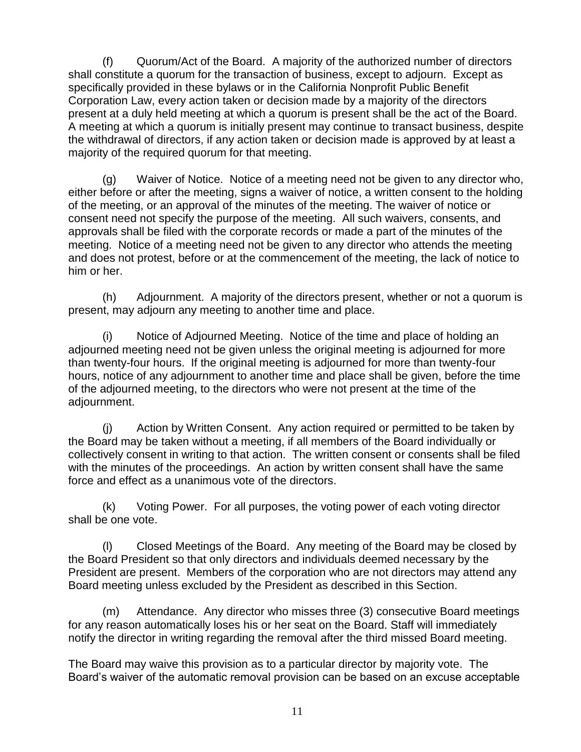(f) Quorum/Act of the Board. A majority of the authorized number of directors shall constitute a quorum for the transaction of business, except to adjourn. Except as specifically provided in these bylaws or in the California Nonprofit Public Benefit Corporation Law, every action taken or decision made by a majority of the directors present at a duly held meeting at which a quorum is present shall be the act of the Board. A meeting at which a quorum is initially present may continue to transact business, despite the withdrawal of directors, if any action taken or decision made is approved by at least a majority of the required quorum for that meeting.

(g) Waiver of Notice. Notice of a meeting need not be given to any director who, either before or after the meeting, signs a waiver of notice, a written consent to the holding of the meeting, or an approval of the minutes of the meeting. The waiver of notice or consent need not specify the purpose of the meeting. All such waivers, consents, and approvals shall be filed with the corporate records or made a part of the minutes of the meeting. Notice of a meeting need not be given to any director who attends the meeting and does not protest, before or at the commencement of the meeting, the lack of notice to him or her.

(h) Adjournment. A majority of the directors present, whether or not a quorum is present, may adjourn any meeting to another time and place.

(i) Notice of Adjourned Meeting. Notice of the time and place of holding an adjourned meeting need not be given unless the original meeting is adjourned for more than twenty-four hours. If the original meeting is adjourned for more than twenty-four hours, notice of any adjournment to another time and place shall be given, before the time of the adjourned meeting, to the directors who were not present at the time of the adjournment.

(j) Action by Written Consent. Any action required or permitted to be taken by the Board may be taken without a meeting, if all members of the Board individually or collectively consent in writing to that action. The written consent or consents shall be filed with the minutes of the proceedings. An action by written consent shall have the same force and effect as a unanimous vote of the directors.

(k) Voting Power. For all purposes, the voting power of each voting director shall be one vote.

(l) Closed Meetings of the Board. Any meeting of the Board may be closed by the Board President so that only directors and individuals deemed necessary by the President are present. Members of the corporation who are not directors may attend any Board meeting unless excluded by the President as described in this Section.

(m) Attendance. Any director who misses three (3) consecutive Board meetings for any reason automatically loses his or her seat on the Board. Staff will immediately notify the director in writing regarding the removal after the third missed Board meeting.

The Board may waive this provision as to a particular director by majority vote. The Board's waiver of the automatic removal provision can be based on an excuse acceptable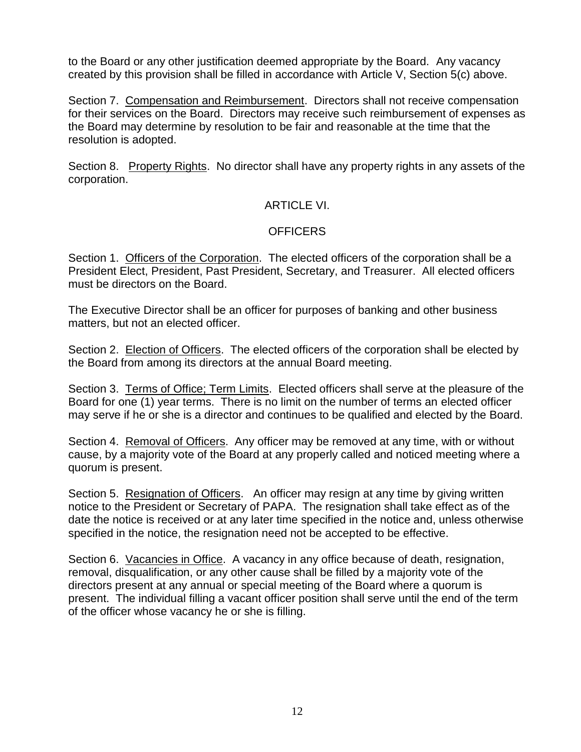to the Board or any other justification deemed appropriate by the Board. Any vacancy created by this provision shall be filled in accordance with Article V, Section 5(c) above.

Section 7. Compensation and Reimbursement. Directors shall not receive compensation for their services on the Board. Directors may receive such reimbursement of expenses as the Board may determine by resolution to be fair and reasonable at the time that the resolution is adopted.

Section 8. Property Rights. No director shall have any property rights in any assets of the corporation.

## ARTICLE VI.

## **OFFICERS**

Section 1. Officers of the Corporation. The elected officers of the corporation shall be a President Elect, President, Past President, Secretary, and Treasurer. All elected officers must be directors on the Board.

The Executive Director shall be an officer for purposes of banking and other business matters, but not an elected officer.

Section 2. Election of Officers. The elected officers of the corporation shall be elected by the Board from among its directors at the annual Board meeting.

Section 3. Terms of Office; Term Limits. Elected officers shall serve at the pleasure of the Board for one (1) year terms. There is no limit on the number of terms an elected officer may serve if he or she is a director and continues to be qualified and elected by the Board.

Section 4. Removal of Officers. Any officer may be removed at any time, with or without cause, by a majority vote of the Board at any properly called and noticed meeting where a quorum is present.

Section 5. Resignation of Officers. An officer may resign at any time by giving written notice to the President or Secretary of PAPA. The resignation shall take effect as of the date the notice is received or at any later time specified in the notice and, unless otherwise specified in the notice, the resignation need not be accepted to be effective.

Section 6. Vacancies in Office. A vacancy in any office because of death, resignation, removal, disqualification, or any other cause shall be filled by a majority vote of the directors present at any annual or special meeting of the Board where a quorum is present. The individual filling a vacant officer position shall serve until the end of the term of the officer whose vacancy he or she is filling.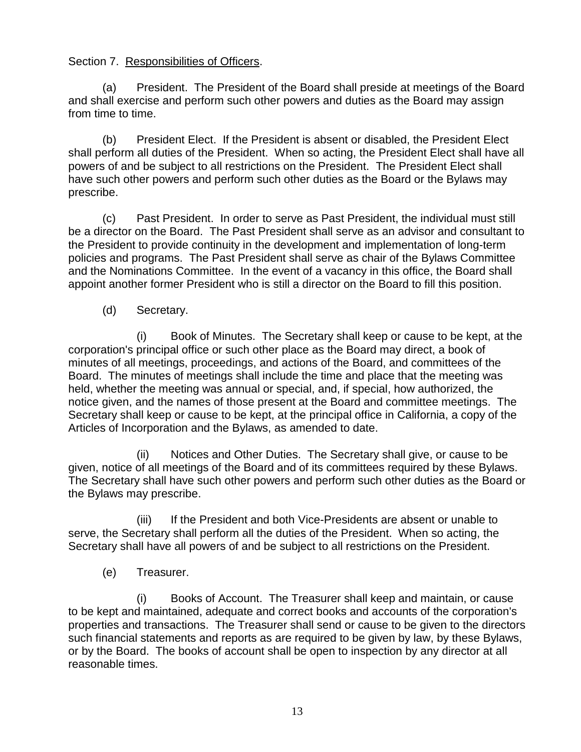Section 7. Responsibilities of Officers.

(a) President. The President of the Board shall preside at meetings of the Board and shall exercise and perform such other powers and duties as the Board may assign from time to time.

(b) President Elect. If the President is absent or disabled, the President Elect shall perform all duties of the President. When so acting, the President Elect shall have all powers of and be subject to all restrictions on the President. The President Elect shall have such other powers and perform such other duties as the Board or the Bylaws may prescribe.

(c) Past President. In order to serve as Past President, the individual must still be a director on the Board. The Past President shall serve as an advisor and consultant to the President to provide continuity in the development and implementation of long-term policies and programs. The Past President shall serve as chair of the Bylaws Committee and the Nominations Committee. In the event of a vacancy in this office, the Board shall appoint another former President who is still a director on the Board to fill this position.

(d) Secretary.

(i) Book of Minutes. The Secretary shall keep or cause to be kept, at the corporation's principal office or such other place as the Board may direct, a book of minutes of all meetings, proceedings, and actions of the Board, and committees of the Board. The minutes of meetings shall include the time and place that the meeting was held, whether the meeting was annual or special, and, if special, how authorized, the notice given, and the names of those present at the Board and committee meetings. The Secretary shall keep or cause to be kept, at the principal office in California, a copy of the Articles of Incorporation and the Bylaws, as amended to date.

(ii) Notices and Other Duties. The Secretary shall give, or cause to be given, notice of all meetings of the Board and of its committees required by these Bylaws. The Secretary shall have such other powers and perform such other duties as the Board or the Bylaws may prescribe.

(iii) If the President and both Vice-Presidents are absent or unable to serve, the Secretary shall perform all the duties of the President. When so acting, the Secretary shall have all powers of and be subject to all restrictions on the President.

(e) Treasurer.

(i) Books of Account. The Treasurer shall keep and maintain, or cause to be kept and maintained, adequate and correct books and accounts of the corporation's properties and transactions. The Treasurer shall send or cause to be given to the directors such financial statements and reports as are required to be given by law, by these Bylaws, or by the Board. The books of account shall be open to inspection by any director at all reasonable times.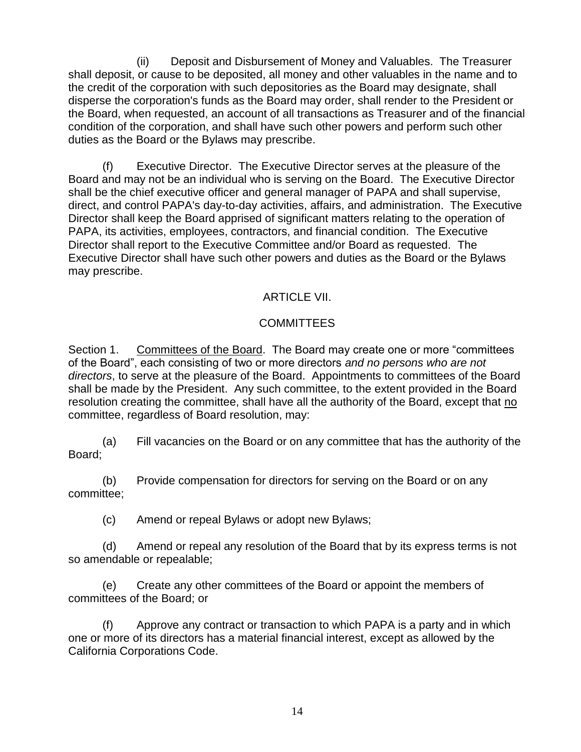(ii) Deposit and Disbursement of Money and Valuables. The Treasurer shall deposit, or cause to be deposited, all money and other valuables in the name and to the credit of the corporation with such depositories as the Board may designate, shall disperse the corporation's funds as the Board may order, shall render to the President or the Board, when requested, an account of all transactions as Treasurer and of the financial condition of the corporation, and shall have such other powers and perform such other duties as the Board or the Bylaws may prescribe.

(f) Executive Director. The Executive Director serves at the pleasure of the Board and may not be an individual who is serving on the Board. The Executive Director shall be the chief executive officer and general manager of PAPA and shall supervise, direct, and control PAPA's day-to-day activities, affairs, and administration. The Executive Director shall keep the Board apprised of significant matters relating to the operation of PAPA, its activities, employees, contractors, and financial condition. The Executive Director shall report to the Executive Committee and/or Board as requested. The Executive Director shall have such other powers and duties as the Board or the Bylaws may prescribe.

## ARTICLE VII.

## **COMMITTEES**

Section 1. Committees of the Board. The Board may create one or more "committees of the Board", each consisting of two or more directors *and no persons who are not directors*, to serve at the pleasure of the Board. Appointments to committees of the Board shall be made by the President. Any such committee, to the extent provided in the Board resolution creating the committee, shall have all the authority of the Board, except that no committee, regardless of Board resolution, may:

(a) Fill vacancies on the Board or on any committee that has the authority of the Board;

(b) Provide compensation for directors for serving on the Board or on any committee;

(c) Amend or repeal Bylaws or adopt new Bylaws;

(d) Amend or repeal any resolution of the Board that by its express terms is not so amendable or repealable;

(e) Create any other committees of the Board or appoint the members of committees of the Board; or

(f) Approve any contract or transaction to which PAPA is a party and in which one or more of its directors has a material financial interest, except as allowed by the California Corporations Code.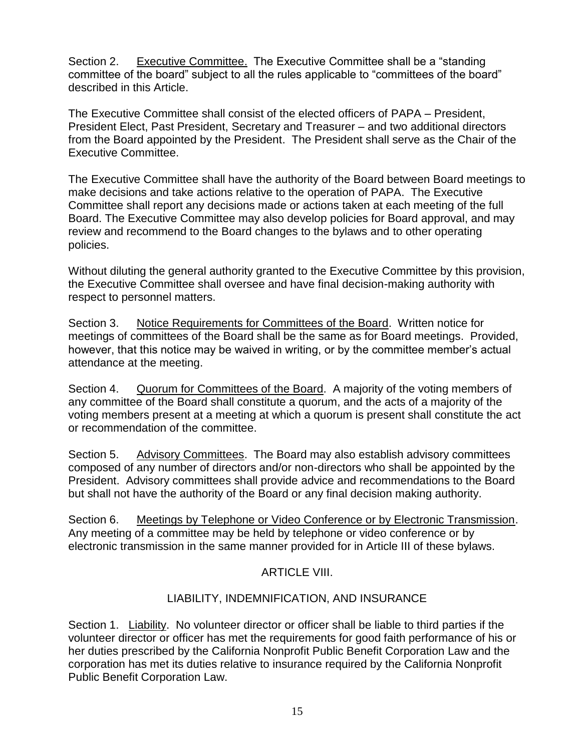Section 2. Executive Committee. The Executive Committee shall be a "standing committee of the board" subject to all the rules applicable to "committees of the board" described in this Article.

The Executive Committee shall consist of the elected officers of PAPA – President, President Elect, Past President, Secretary and Treasurer – and two additional directors from the Board appointed by the President. The President shall serve as the Chair of the Executive Committee.

The Executive Committee shall have the authority of the Board between Board meetings to make decisions and take actions relative to the operation of PAPA. The Executive Committee shall report any decisions made or actions taken at each meeting of the full Board. The Executive Committee may also develop policies for Board approval, and may review and recommend to the Board changes to the bylaws and to other operating policies.

Without diluting the general authority granted to the Executive Committee by this provision, the Executive Committee shall oversee and have final decision-making authority with respect to personnel matters.

Section 3. Notice Requirements for Committees of the Board. Written notice for meetings of committees of the Board shall be the same as for Board meetings. Provided, however, that this notice may be waived in writing, or by the committee member's actual attendance at the meeting.

Section 4. Quorum for Committees of the Board. A majority of the voting members of any committee of the Board shall constitute a quorum, and the acts of a majority of the voting members present at a meeting at which a quorum is present shall constitute the act or recommendation of the committee.

Section 5. Advisory Committees. The Board may also establish advisory committees composed of any number of directors and/or non-directors who shall be appointed by the President. Advisory committees shall provide advice and recommendations to the Board but shall not have the authority of the Board or any final decision making authority.

Section 6. Meetings by Telephone or Video Conference or by Electronic Transmission. Any meeting of a committee may be held by telephone or video conference or by electronic transmission in the same manner provided for in Article III of these bylaws.

## ARTICLE VIII.

## LIABILITY, INDEMNIFICATION, AND INSURANCE

Section 1. Liability. No volunteer director or officer shall be liable to third parties if the volunteer director or officer has met the requirements for good faith performance of his or her duties prescribed by the California Nonprofit Public Benefit Corporation Law and the corporation has met its duties relative to insurance required by the California Nonprofit Public Benefit Corporation Law.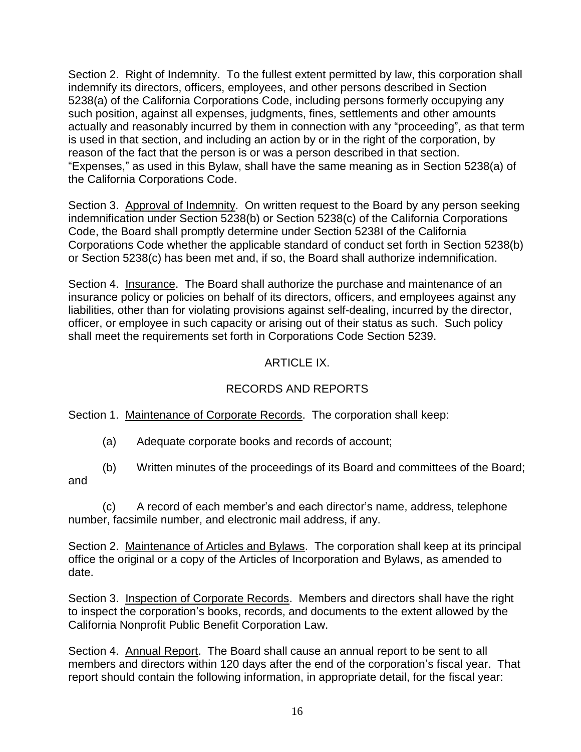Section 2. Right of Indemnity. To the fullest extent permitted by law, this corporation shall indemnify its directors, officers, employees, and other persons described in Section 5238(a) of the California Corporations Code, including persons formerly occupying any such position, against all expenses, judgments, fines, settlements and other amounts actually and reasonably incurred by them in connection with any "proceeding", as that term is used in that section, and including an action by or in the right of the corporation, by reason of the fact that the person is or was a person described in that section. "Expenses," as used in this Bylaw, shall have the same meaning as in Section 5238(a) of the California Corporations Code.

Section 3. Approval of Indemnity. On written request to the Board by any person seeking indemnification under Section 5238(b) or Section 5238(c) of the California Corporations Code, the Board shall promptly determine under Section 5238I of the California Corporations Code whether the applicable standard of conduct set forth in Section 5238(b) or Section 5238(c) has been met and, if so, the Board shall authorize indemnification.

Section 4. Insurance. The Board shall authorize the purchase and maintenance of an insurance policy or policies on behalf of its directors, officers, and employees against any liabilities, other than for violating provisions against self-dealing, incurred by the director, officer, or employee in such capacity or arising out of their status as such. Such policy shall meet the requirements set forth in Corporations Code Section 5239.

## ARTICLE IX.

## RECORDS AND REPORTS

Section 1. Maintenance of Corporate Records. The corporation shall keep:

- (a) Adequate corporate books and records of account;
- (b) Written minutes of the proceedings of its Board and committees of the Board; and

(c) A record of each member's and each director's name, address, telephone number, facsimile number, and electronic mail address, if any.

Section 2. Maintenance of Articles and Bylaws. The corporation shall keep at its principal office the original or a copy of the Articles of Incorporation and Bylaws, as amended to date.

Section 3. Inspection of Corporate Records. Members and directors shall have the right to inspect the corporation's books, records, and documents to the extent allowed by the California Nonprofit Public Benefit Corporation Law.

Section 4. Annual Report. The Board shall cause an annual report to be sent to all members and directors within 120 days after the end of the corporation's fiscal year. That report should contain the following information, in appropriate detail, for the fiscal year: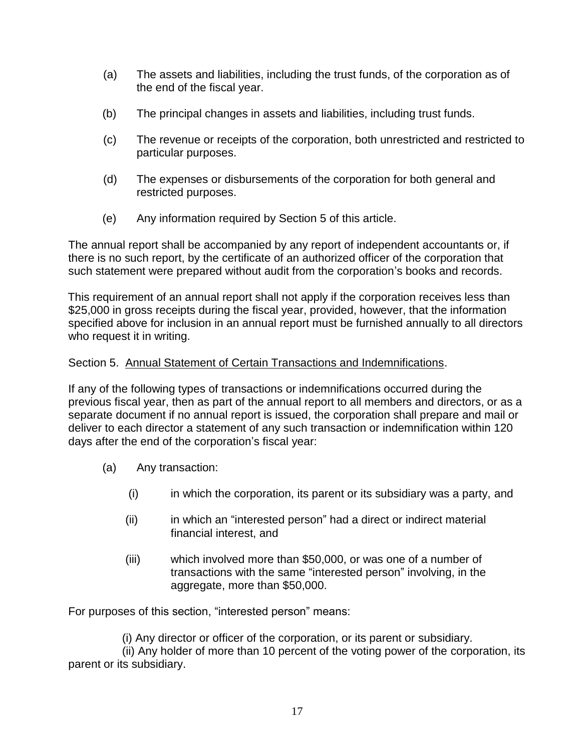- (a) The assets and liabilities, including the trust funds, of the corporation as of the end of the fiscal year.
- (b) The principal changes in assets and liabilities, including trust funds.
- (c) The revenue or receipts of the corporation, both unrestricted and restricted to particular purposes.
- (d) The expenses or disbursements of the corporation for both general and restricted purposes.
- (e) Any information required by Section 5 of this article.

The annual report shall be accompanied by any report of independent accountants or, if there is no such report, by the certificate of an authorized officer of the corporation that such statement were prepared without audit from the corporation's books and records.

This requirement of an annual report shall not apply if the corporation receives less than \$25,000 in gross receipts during the fiscal year, provided, however, that the information specified above for inclusion in an annual report must be furnished annually to all directors who request it in writing.

## Section 5. Annual Statement of Certain Transactions and Indemnifications.

If any of the following types of transactions or indemnifications occurred during the previous fiscal year, then as part of the annual report to all members and directors, or as a separate document if no annual report is issued, the corporation shall prepare and mail or deliver to each director a statement of any such transaction or indemnification within 120 days after the end of the corporation's fiscal year:

- (a) Any transaction:
	- (i) in which the corporation, its parent or its subsidiary was a party, and
	- (ii) in which an "interested person" had a direct or indirect material financial interest, and
	- (iii) which involved more than \$50,000, or was one of a number of transactions with the same "interested person" involving, in the aggregate, more than \$50,000.

For purposes of this section, "interested person" means:

(i) Any director or officer of the corporation, or its parent or subsidiary.

 (ii) Any holder of more than 10 percent of the voting power of the corporation, its parent or its subsidiary.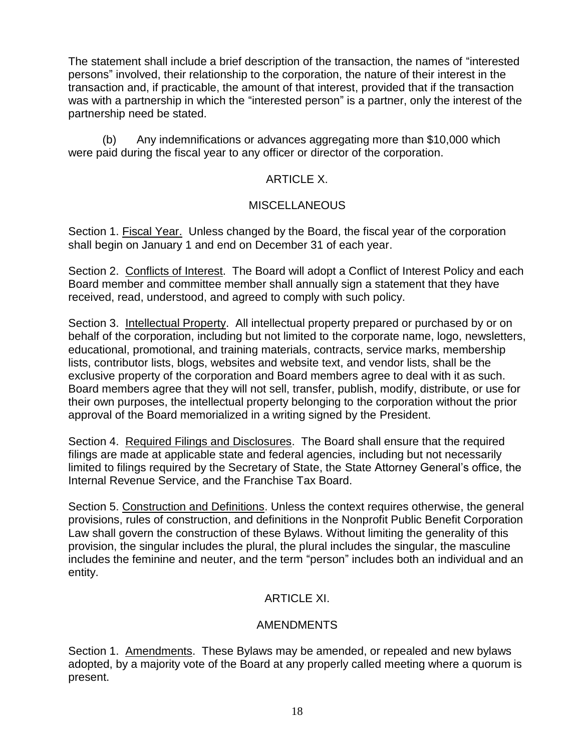The statement shall include a brief description of the transaction, the names of "interested persons" involved, their relationship to the corporation, the nature of their interest in the transaction and, if practicable, the amount of that interest, provided that if the transaction was with a partnership in which the "interested person" is a partner, only the interest of the partnership need be stated.

(b) Any indemnifications or advances aggregating more than \$10,000 which were paid during the fiscal year to any officer or director of the corporation.

## ARTICLE X.

### **MISCELLANEOUS**

Section 1. Fiscal Year. Unless changed by the Board, the fiscal year of the corporation shall begin on January 1 and end on December 31 of each year.

Section 2. Conflicts of Interest. The Board will adopt a Conflict of Interest Policy and each Board member and committee member shall annually sign a statement that they have received, read, understood, and agreed to comply with such policy.

Section 3. Intellectual Property. All intellectual property prepared or purchased by or on behalf of the corporation, including but not limited to the corporate name, logo, newsletters, educational, promotional, and training materials, contracts, service marks, membership lists, contributor lists, blogs, websites and website text, and vendor lists, shall be the exclusive property of the corporation and Board members agree to deal with it as such. Board members agree that they will not sell, transfer, publish, modify, distribute, or use for their own purposes, the intellectual property belonging to the corporation without the prior approval of the Board memorialized in a writing signed by the President.

Section 4. Required Filings and Disclosures. The Board shall ensure that the required filings are made at applicable state and federal agencies, including but not necessarily limited to filings required by the Secretary of State, the State Attorney General's office, the Internal Revenue Service, and the Franchise Tax Board.

Section 5. Construction and Definitions. Unless the context requires otherwise, the general provisions, rules of construction, and definitions in the Nonprofit Public Benefit Corporation Law shall govern the construction of these Bylaws. Without limiting the generality of this provision, the singular includes the plural, the plural includes the singular, the masculine includes the feminine and neuter, and the term "person" includes both an individual and an entity.

## ARTICLE XI.

### AMENDMENTS

Section 1. Amendments. These Bylaws may be amended, or repealed and new bylaws adopted, by a majority vote of the Board at any properly called meeting where a quorum is present.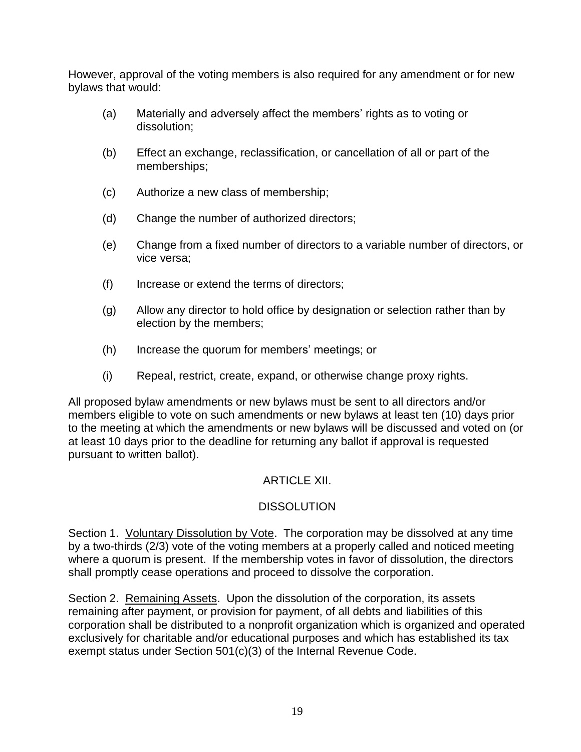However, approval of the voting members is also required for any amendment or for new bylaws that would:

- (a) Materially and adversely affect the members' rights as to voting or dissolution;
- (b) Effect an exchange, reclassification, or cancellation of all or part of the memberships;
- (c) Authorize a new class of membership;
- (d) Change the number of authorized directors;
- (e) Change from a fixed number of directors to a variable number of directors, or vice versa;
- (f) Increase or extend the terms of directors;
- (g) Allow any director to hold office by designation or selection rather than by election by the members;
- (h) Increase the quorum for members' meetings; or
- (i) Repeal, restrict, create, expand, or otherwise change proxy rights.

All proposed bylaw amendments or new bylaws must be sent to all directors and/or members eligible to vote on such amendments or new bylaws at least ten (10) days prior to the meeting at which the amendments or new bylaws will be discussed and voted on (or at least 10 days prior to the deadline for returning any ballot if approval is requested pursuant to written ballot).

## **ARTICLE XII.**

# **DISSOLUTION**

Section 1. Voluntary Dissolution by Vote. The corporation may be dissolved at any time by a two-thirds (2/3) vote of the voting members at a properly called and noticed meeting where a quorum is present. If the membership votes in favor of dissolution, the directors shall promptly cease operations and proceed to dissolve the corporation.

Section 2. Remaining Assets. Upon the dissolution of the corporation, its assets remaining after payment, or provision for payment, of all debts and liabilities of this corporation shall be distributed to a nonprofit organization which is organized and operated exclusively for charitable and/or educational purposes and which has established its tax exempt status under Section 501(c)(3) of the Internal Revenue Code.